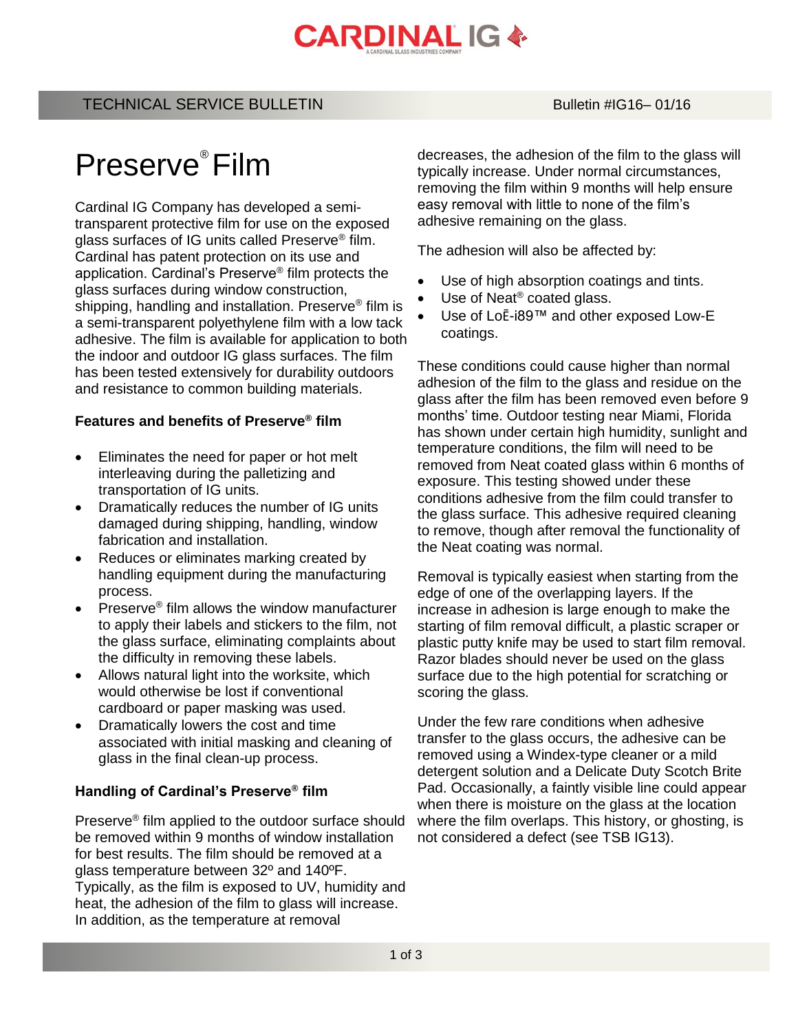# **CARDINAL IG &**

## TECHNICAL SERVICE BULLETIN BULLETIN Bulletin #IG16– 01/16

# Preserve® Film

Cardinal IG Company has developed a semitransparent protective film for use on the exposed glass surfaces of IG units called Preserve® film. Cardinal has patent protection on its use and application. Cardinal's Preserve® film protects the glass surfaces during window construction, shipping, handling and installation. Preserve® film is a semi-transparent polyethylene film with a low tack adhesive. The film is available for application to both the indoor and outdoor IG glass surfaces. The film has been tested extensively for durability outdoors and resistance to common building materials.

### **Features and benefits of Preserve® film**

- Eliminates the need for paper or hot melt interleaving during the palletizing and transportation of IG units.
- Dramatically reduces the number of IG units damaged during shipping, handling, window fabrication and installation.
- Reduces or eliminates marking created by handling equipment during the manufacturing process.
- Preserve<sup>®</sup> film allows the window manufacturer to apply their labels and stickers to the film, not the glass surface, eliminating complaints about the difficulty in removing these labels.
- Allows natural light into the worksite, which would otherwise be lost if conventional cardboard or paper masking was used.
- Dramatically lowers the cost and time associated with initial masking and cleaning of glass in the final clean-up process.

#### **Handling of Cardinal's Preserve® film**

Preserve® film applied to the outdoor surface should be removed within 9 months of window installation for best results. The film should be removed at a glass temperature between 32º and 140ºF. Typically, as the film is exposed to UV, humidity and heat, the adhesion of the film to glass will increase. In addition, as the temperature at removal

decreases, the adhesion of the film to the glass will typically increase. Under normal circumstances, removing the film within 9 months will help ensure easy removal with little to none of the film's adhesive remaining on the glass.

The adhesion will also be affected by:

- Use of high absorption coatings and tints.
- Use of Neat® coated glass.
- Use of LoĒ-i89™ and other exposed Low-E coatings.

These conditions could cause higher than normal adhesion of the film to the glass and residue on the glass after the film has been removed even before 9 months' time. Outdoor testing near Miami, Florida has shown under certain high humidity, sunlight and temperature conditions, the film will need to be removed from Neat coated glass within 6 months of exposure. This testing showed under these conditions adhesive from the film could transfer to the glass surface. This adhesive required cleaning to remove, though after removal the functionality of the Neat coating was normal.

Removal is typically easiest when starting from the edge of one of the overlapping layers. If the increase in adhesion is large enough to make the starting of film removal difficult, a plastic scraper or plastic putty knife may be used to start film removal. Razor blades should never be used on the glass surface due to the high potential for scratching or scoring the glass.

Under the few rare conditions when adhesive transfer to the glass occurs, the adhesive can be removed using a Windex-type cleaner or a mild detergent solution and a Delicate Duty Scotch Brite Pad. Occasionally, a faintly visible line could appear when there is moisture on the glass at the location where the film overlaps. This history, or ghosting, is not considered a defect (see TSB IG13).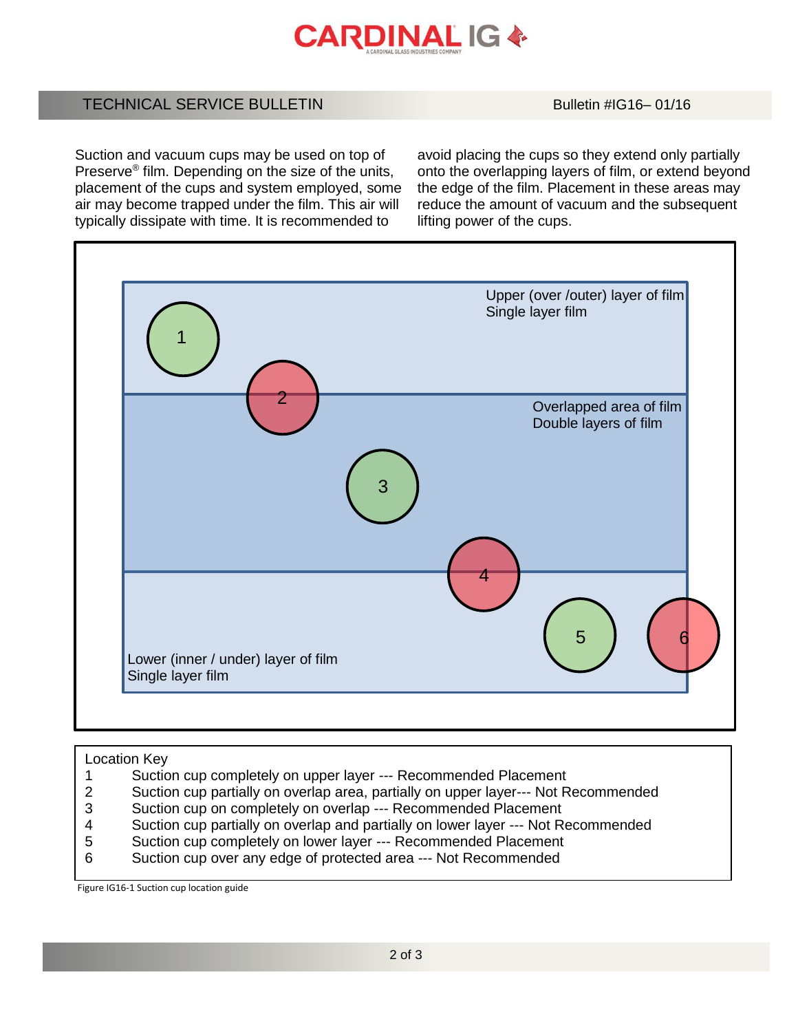

# TECHNICAL SERVICE BULLETIN BULLETIN Bulletin #IG16– 01/16

Suction and vacuum cups may be used on top of Preserve® film. Depending on the size of the units, placement of the cups and system employed, some air may become trapped under the film. This air will typically dissipate with time. It is recommended to

avoid placing the cups so they extend only partially onto the overlapping layers of film, or extend beyond the edge of the film. Placement in these areas may reduce the amount of vacuum and the subsequent lifting power of the cups.



#### Location Key

- 1 Suction cup completely on upper layer --- Recommended Placement
- 2 Suction cup partially on overlap area, partially on upper layer--- Not Recommended
- 3 Suction cup on completely on overlap --- Recommended Placement<br>4 Suction cup partially on overlap and partially on lower layer --- Not R
- Suction cup partially on overlap and partially on lower layer --- Not Recommended
- 5 Suction cup completely on lower layer --- Recommended Placement
- 6 Suction cup over any edge of protected area --- Not Recommended

Figure IG16-1 Suction cup location guide